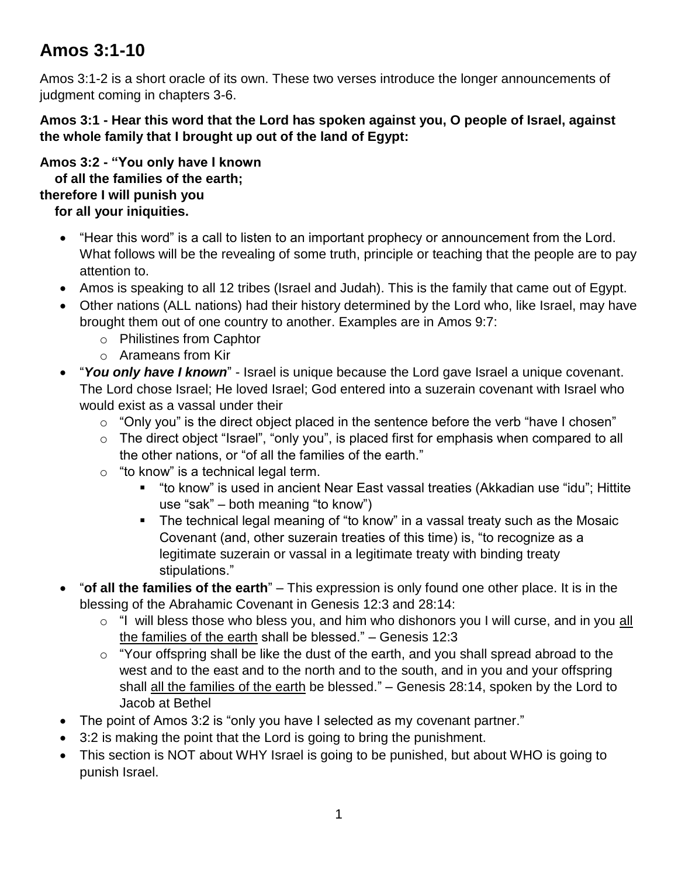## **Amos 3:1-10**

Amos 3:1-2 is a short oracle of its own. These two verses introduce the longer announcements of judgment coming in chapters 3-6.

**Amos 3:1 - Hear this word that the Lord has spoken against you, O people of Israel, against the whole family that I brought up out of the land of Egypt:**

**Amos 3:2 - "You only have I known of all the families of the earth; therefore I will punish you for all your iniquities.**

- "Hear this word" is a call to listen to an important prophecy or announcement from the Lord. What follows will be the revealing of some truth, principle or teaching that the people are to pay attention to.
- Amos is speaking to all 12 tribes (Israel and Judah). This is the family that came out of Egypt.
- Other nations (ALL nations) had their history determined by the Lord who, like Israel, may have brought them out of one country to another. Examples are in Amos 9:7:
	- o Philistines from Caphtor
	- o Arameans from Kir
- "*You only have I known*" Israel is unique because the Lord gave Israel a unique covenant. The Lord chose Israel; He loved Israel; God entered into a suzerain covenant with Israel who would exist as a vassal under their
	- $\circ$  "Only you" is the direct object placed in the sentence before the verb "have I chosen"
	- o The direct object "Israel", "only you", is placed first for emphasis when compared to all the other nations, or "of all the families of the earth."
	- $\circ$  "to know" is a technical legal term.
		- "to know" is used in ancient Near East vassal treaties (Akkadian use "idu"; Hittite use "sak" – both meaning "to know")
		- **The technical legal meaning of "to know" in a vassal treaty such as the Mosaic** Covenant (and, other suzerain treaties of this time) is, "to recognize as a legitimate suzerain or vassal in a legitimate treaty with binding treaty stipulations."
- "**of all the families of the earth**" This expression is only found one other place. It is in the blessing of the Abrahamic Covenant in Genesis 12:3 and 28:14:
	- o "I will bless those who bless you, and him who dishonors you I will curse, and in you all the families of the earth shall be blessed." – Genesis 12:3
	- $\circ$  "Your offspring shall be like the dust of the earth, and you shall spread abroad to the west and to the east and to the north and to the south, and in you and your offspring shall all the families of the earth be blessed." – Genesis 28:14, spoken by the Lord to Jacob at Bethel
- The point of Amos 3:2 is "only you have I selected as my covenant partner."
- 3:2 is making the point that the Lord is going to bring the punishment.
- This section is NOT about WHY Israel is going to be punished, but about WHO is going to punish Israel.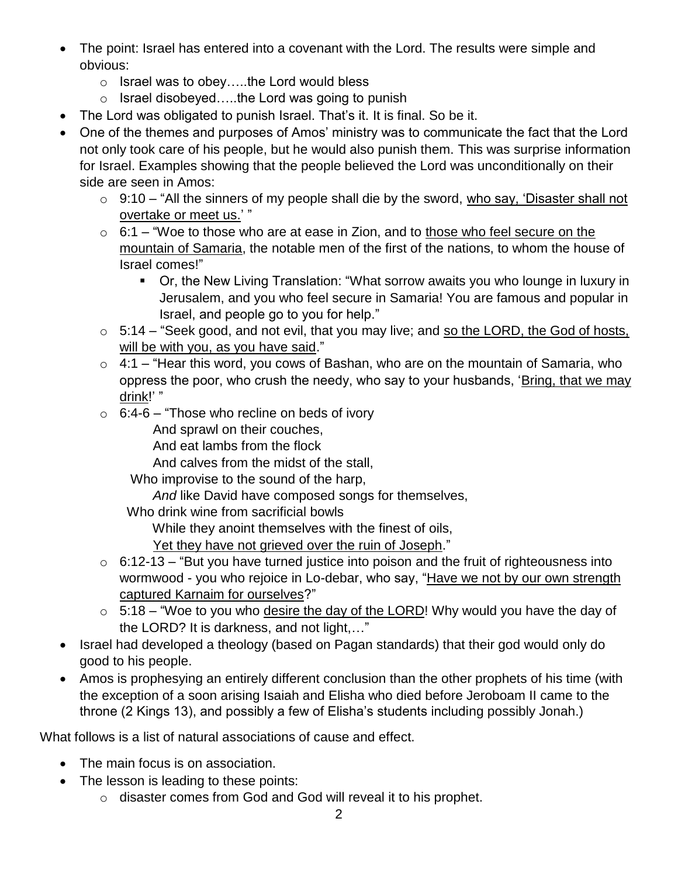- The point: Israel has entered into a covenant with the Lord. The results were simple and obvious:
	- o Israel was to obey…..the Lord would bless
	- o Israel disobeyed…..the Lord was going to punish
- The Lord was obligated to punish Israel. That's it. It is final. So be it.
- One of the themes and purposes of Amos' ministry was to communicate the fact that the Lord not only took care of his people, but he would also punish them. This was surprise information for Israel. Examples showing that the people believed the Lord was unconditionally on their side are seen in Amos:
	- $\circ$  9:10 "All the sinners of my people shall die by the sword, who say, 'Disaster shall not overtake or meet us.' "
	- $\circ$  6:1 "Woe to those who are at ease in Zion, and to those who feel secure on the mountain of Samaria, the notable men of the first of the nations, to whom the house of Israel comes!"
		- Or, the New Living Translation: "What sorrow awaits you who lounge in luxury in Jerusalem, and you who feel secure in Samaria! You are famous and popular in Israel, and people go to you for help."
	- $\circ$  5:14 "Seek good, and not evil, that you may live; and so the LORD, the God of hosts, will be with you, as you have said."
	- $\circ$  4:1 "Hear this word, you cows of Bashan, who are on the mountain of Samaria, who oppress the poor, who crush the needy, who say to your husbands, 'Bring, that we may drink!' "
	- $\circ$  6:4-6 "Those who recline on beds of ivory
		- And sprawl on their couches,
		- And eat lambs from the flock
		- And calves from the midst of the stall,
		- Who improvise to the sound of the harp,
			- *And* like David have composed songs for themselves,
		- Who drink wine from sacrificial bowls
			- While they anoint themselves with the finest of oils,
			- Yet they have not grieved over the ruin of Joseph."
	- $\circ$  6:12-13 "But you have turned justice into poison and the fruit of righteousness into wormwood - you who rejoice in Lo-debar, who say, "Have we not by our own strength captured Karnaim for ourselves?"
	- $\circ$  5:18 "Woe to you who desire the day of the LORD! Why would you have the day of the LORD? It is darkness, and not light,…"
- Israel had developed a theology (based on Pagan standards) that their god would only do good to his people.
- Amos is prophesying an entirely different conclusion than the other prophets of his time (with the exception of a soon arising Isaiah and Elisha who died before Jeroboam II came to the throne (2 Kings 13), and possibly a few of Elisha's students including possibly Jonah.)

What follows is a list of natural associations of cause and effect.

- The main focus is on association.
- The lesson is leading to these points:
	- o disaster comes from God and God will reveal it to his prophet.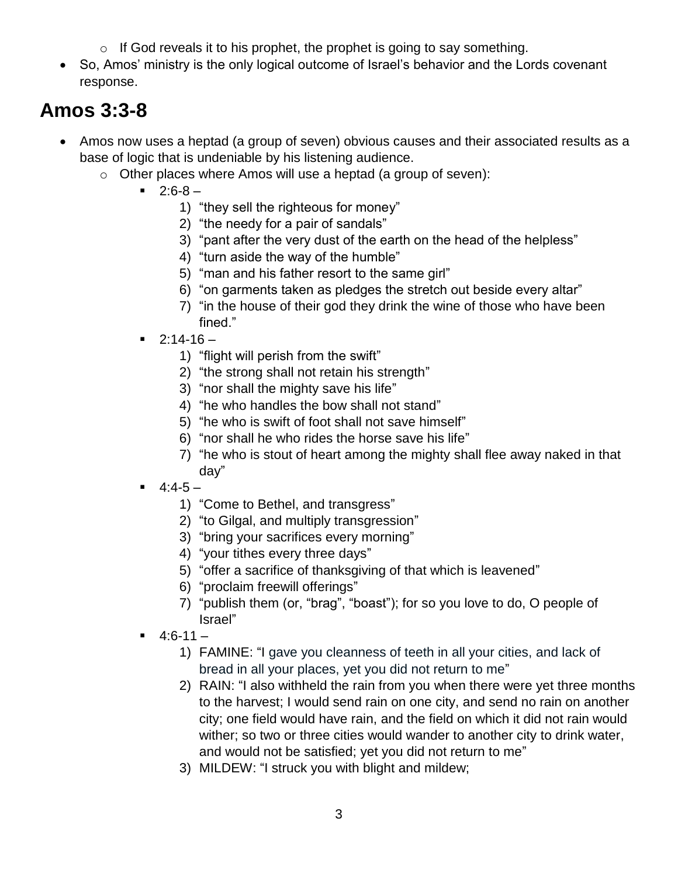- $\circ$  If God reveals it to his prophet, the prophet is going to say something.
- So, Amos' ministry is the only logical outcome of Israel's behavior and the Lords covenant response.

## **Amos 3:3-8**

- Amos now uses a heptad (a group of seven) obvious causes and their associated results as a base of logic that is undeniable by his listening audience.
	- $\circ$  Other places where Amos will use a heptad (a group of seven):
		- $-2:6-8-$ 
			- 1) "they sell the righteous for money"
			- 2) "the needy for a pair of sandals"
			- 3) "pant after the very dust of the earth on the head of the helpless"
			- 4) "turn aside the way of the humble"
			- 5) "man and his father resort to the same girl"
			- 6) "on garments taken as pledges the stretch out beside every altar"
			- 7) "in the house of their god they drink the wine of those who have been fined."
		- $-2:14-16-$ 
			- 1) "flight will perish from the swift"
			- 2) "the strong shall not retain his strength"
			- 3) "nor shall the mighty save his life"
			- 4) "he who handles the bow shall not stand"
			- 5) "he who is swift of foot shall not save himself"
			- 6) "nor shall he who rides the horse save his life"
			- 7) "he who is stout of heart among the mighty shall flee away naked in that day"
		- $-4:4-5-$ 
			- 1) "Come to Bethel, and transgress"
			- 2) "to Gilgal, and multiply transgression"
			- 3) "bring your sacrifices every morning"
			- 4) "your tithes every three days"
			- 5) "offer a sacrifice of thanksgiving of that which is leavened"
			- 6) "proclaim freewill offerings"
			- 7) "publish them (or, "brag", "boast"); for so you love to do, O people of Israel"
		- $-4:6-11-$ 
			- 1) FAMINE: "I gave you cleanness of teeth in all your cities, and lack of bread in all your places, yet you did not return to me"
			- 2) RAIN: "I also withheld the rain from you when there were yet three months to the harvest; I would send rain on one city, and send no rain on another city; one field would have rain, and the field on which it did not rain would wither; so two or three cities would wander to another city to drink water, and would not be satisfied; yet you did not return to me"
			- 3) MILDEW: "I struck you with blight and mildew;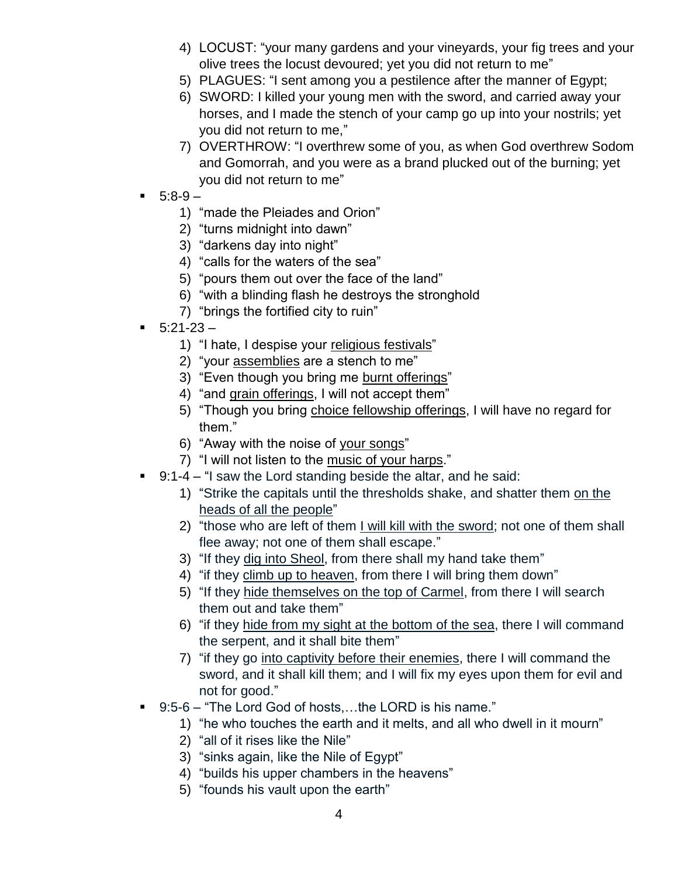- 4) LOCUST: "your many gardens and your vineyards, your fig trees and your olive trees the locust devoured; yet you did not return to me"
- 5) PLAGUES: "I sent among you a pestilence after the manner of Egypt;
- 6) SWORD: I killed your young men with the sword, and carried away your horses, and I made the stench of your camp go up into your nostrils; yet you did not return to me,"
- 7) OVERTHROW: "I overthrew some of you, as when God overthrew Sodom and Gomorrah, and you were as a brand plucked out of the burning; yet you did not return to me"
- $5:8-9-$ 
	- 1) "made the Pleiades and Orion"
	- 2) "turns midnight into dawn"
	- 3) "darkens day into night"
	- 4) "calls for the waters of the sea"
	- 5) "pours them out over the face of the land"
	- 6) "with a blinding flash he destroys the stronghold
	- 7) "brings the fortified city to ruin"
- $-5:21-23-$ 
	- 1) "I hate, I despise your religious festivals"
	- 2) "your assemblies are a stench to me"
	- 3) "Even though you bring me burnt offerings"
	- 4) "and grain offerings, I will not accept them"
	- 5) "Though you bring choice fellowship offerings, I will have no regard for them."
	- 6) "Away with the noise of your songs"
	- 7) "I will not listen to the music of your harps."
- 9:1-4 "I saw the Lord standing beside the altar, and he said:
	- 1) "Strike the capitals until the thresholds shake, and shatter them on the heads of all the people"
	- 2) "those who are left of them I will kill with the sword; not one of them shall flee away; not one of them shall escape."
	- 3) "If they dig into Sheol, from there shall my hand take them"
	- 4) "if they climb up to heaven, from there I will bring them down"
	- 5) "If they hide themselves on the top of Carmel, from there I will search them out and take them"
	- 6) "if they hide from my sight at the bottom of the sea, there I will command the serpent, and it shall bite them"
	- 7) "if they go into captivity before their enemies, there I will command the sword, and it shall kill them; and I will fix my eyes upon them for evil and not for good."
- 9:5-6 "The Lord God of hosts....the LORD is his name."
	- 1) "he who touches the earth and it melts, and all who dwell in it mourn"
	- 2) "all of it rises like the Nile"
	- 3) "sinks again, like the Nile of Egypt"
	- 4) "builds his upper chambers in the heavens"
	- 5) "founds his vault upon the earth"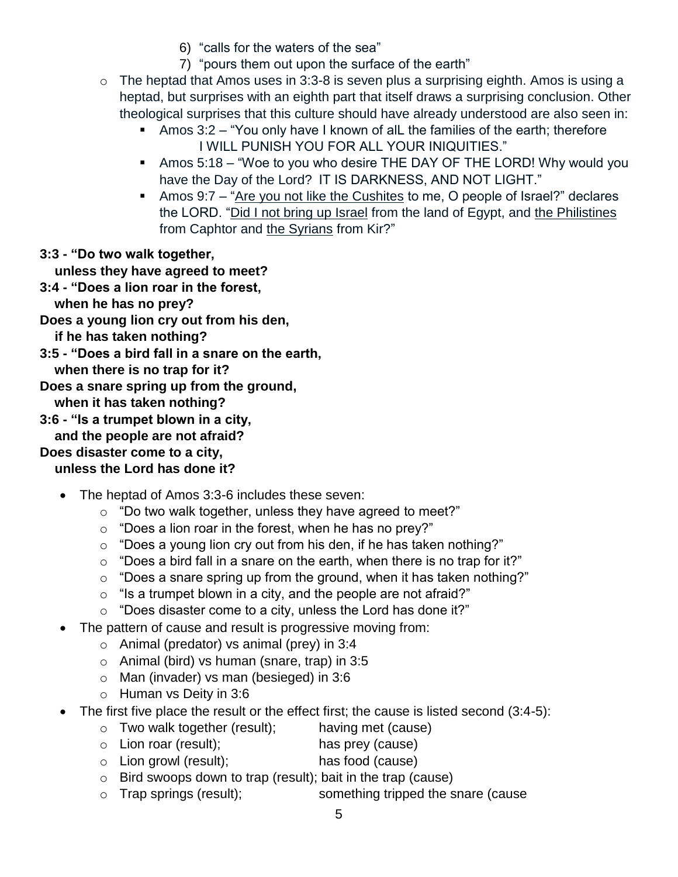- 6) "calls for the waters of the sea"
- 7) "pours them out upon the surface of the earth"
- o The heptad that Amos uses in 3:3-8 is seven plus a surprising eighth. Amos is using a heptad, but surprises with an eighth part that itself draws a surprising conclusion. Other theological surprises that this culture should have already understood are also seen in:
	- Amos 3:2 "You only have I known of alL the families of the earth; therefore I WILL PUNISH YOU FOR ALL YOUR INIQUITIES."
	- Amos 5:18 "Woe to you who desire THE DAY OF THE LORD! Why would you have the Day of the Lord? IT IS DARKNESS, AND NOT LIGHT."
	- Amos 9:7 "Are you not like the Cushites to me, O people of Israel?" declares the LORD. "Did I not bring up Israel from the land of Egypt, and the Philistines from Caphtor and the Syrians from Kir?"

**3:3 - "Do two walk together,**

 **unless they have agreed to meet?**

- **3:4 - "Does a lion roar in the forest,**
	- **when he has no prey?**

**Does a young lion cry out from his den,**

```
 if he has taken nothing?
```
**3:5 - "Does a bird fall in a snare on the earth,**

 **when there is no trap for it?**

**Does a snare spring up from the ground,**

 **when it has taken nothing?**

**3:6 - "Is a trumpet blown in a city,**

 **and the people are not afraid?**

#### **Does disaster come to a city,**

### **unless the Lord has done it?**

- The heptad of Amos 3:3-6 includes these seven:
	- o "Do two walk together, unless they have agreed to meet?"
	- $\circ$  "Does a lion roar in the forest, when he has no prey?"
	- o "Does a young lion cry out from his den, if he has taken nothing?"
	- $\circ$  "Does a bird fall in a snare on the earth, when there is no trap for it?"
	- $\circ$  "Does a snare spring up from the ground, when it has taken nothing?"
	- $\circ$  "Is a trumpet blown in a city, and the people are not afraid?"
	- $\circ$  "Does disaster come to a city, unless the Lord has done it?"
- The pattern of cause and result is progressive moving from:
	- o Animal (predator) vs animal (prey) in 3:4
	- o Animal (bird) vs human (snare, trap) in 3:5
	- o Man (invader) vs man (besieged) in 3:6
	- o Human vs Deity in 3:6
- The first five place the result or the effect first; the cause is listed second (3:4-5):
	- $\circ$  Two walk together (result); having met (cause)
	- o Lion roar (result); has prey (cause)
	- o Lion growl (result); has food (cause)
	- o Bird swoops down to trap (result); bait in the trap (cause)
	- o Trap springs (result); something tripped the snare (cause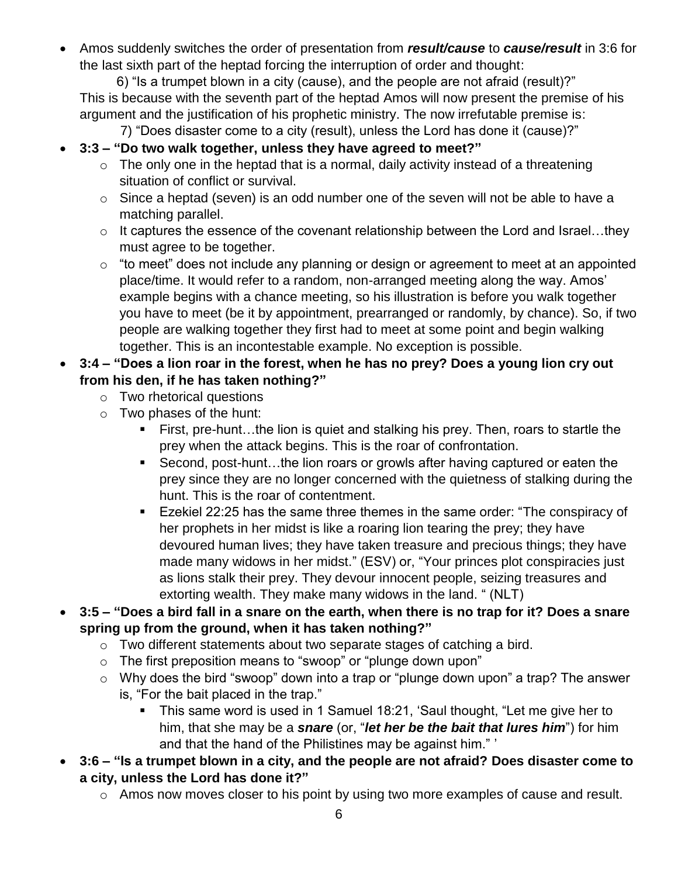Amos suddenly switches the order of presentation from *result/cause* to *cause/result* in 3:6 for the last sixth part of the heptad forcing the interruption of order and thought:

 6) "Is a trumpet blown in a city (cause), and the people are not afraid (result)?" This is because with the seventh part of the heptad Amos will now present the premise of his argument and the justification of his prophetic ministry. The now irrefutable premise is:

7) "Does disaster come to a city (result), unless the Lord has done it (cause)?"

- **3:3 – "Do two walk together, unless they have agreed to meet?"**
	- $\circ$  The only one in the heptad that is a normal, daily activity instead of a threatening situation of conflict or survival.
	- $\circ$  Since a heptad (seven) is an odd number one of the seven will not be able to have a matching parallel.
	- o It captures the essence of the covenant relationship between the Lord and Israel…they must agree to be together.
	- $\circ$  "to meet" does not include any planning or design or agreement to meet at an appointed place/time. It would refer to a random, non-arranged meeting along the way. Amos' example begins with a chance meeting, so his illustration is before you walk together you have to meet (be it by appointment, prearranged or randomly, by chance). So, if two people are walking together they first had to meet at some point and begin walking together. This is an incontestable example. No exception is possible.
- **3:4 – "Does a lion roar in the forest, when he has no prey? Does a young lion cry out from his den, if he has taken nothing?"**
	- o Two rhetorical questions
	- o Two phases of the hunt:
		- First, pre-hunt…the lion is quiet and stalking his prey. Then, roars to startle the prey when the attack begins. This is the roar of confrontation.
		- Second, post-hunt...the lion roars or growls after having captured or eaten the prey since they are no longer concerned with the quietness of stalking during the hunt. This is the roar of contentment.
		- Ezekiel 22:25 has the same three themes in the same order: "The conspiracy of her prophets in her midst is like a roaring lion tearing the prey; they have devoured human lives; they have taken treasure and precious things; they have made many widows in her midst." (ESV) or, "Your princes plot conspiracies just as lions stalk their prey. They devour innocent people, seizing treasures and extorting wealth. They make many widows in the land. " (NLT)
- **3:5 – "Does a bird fall in a snare on the earth, when there is no trap for it? Does a snare spring up from the ground, when it has taken nothing?"**
	- o Two different statements about two separate stages of catching a bird.
	- o The first preposition means to "swoop" or "plunge down upon"
	- o Why does the bird "swoop" down into a trap or "plunge down upon" a trap? The answer is, "For the bait placed in the trap."
		- This same word is used in 1 Samuel 18:21, 'Saul thought, "Let me give her to him, that she may be a *snare* (or, "*let her be the bait that lures him*") for him and that the hand of the Philistines may be against him." '
- **3:6 – "Is a trumpet blown in a city, and the people are not afraid? Does disaster come to a city, unless the Lord has done it?"**
	- o Amos now moves closer to his point by using two more examples of cause and result.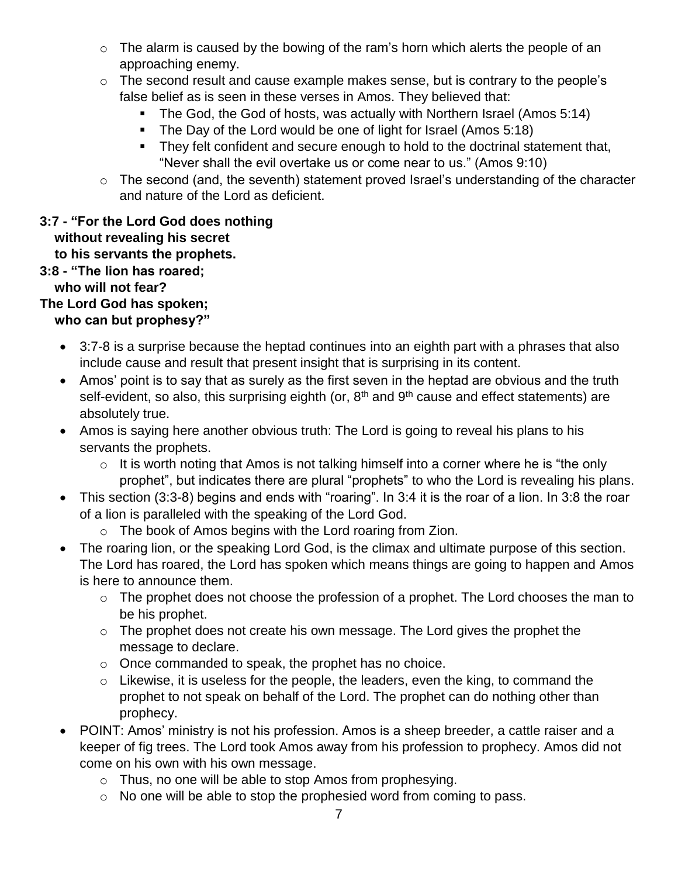- $\circ$  The alarm is caused by the bowing of the ram's horn which alerts the people of an approaching enemy.
- o The second result and cause example makes sense, but is contrary to the people's false belief as is seen in these verses in Amos. They believed that:
	- The God, the God of hosts, was actually with Northern Israel (Amos 5:14)
	- The Day of the Lord would be one of light for Israel (Amos 5:18)
	- They felt confident and secure enough to hold to the doctrinal statement that, "Never shall the evil overtake us or come near to us." (Amos 9:10)
- o The second (and, the seventh) statement proved Israel's understanding of the character and nature of the Lord as deficient.

#### **3:7 - "For the Lord God does nothing without revealing his secret to his servants the prophets. 3:8 - "The lion has roared;**

### **who will not fear?**

### **The Lord God has spoken;**

### **who can but prophesy?"**

- 3:7-8 is a surprise because the heptad continues into an eighth part with a phrases that also include cause and result that present insight that is surprising in its content.
- Amos' point is to say that as surely as the first seven in the heptad are obvious and the truth self-evident, so also, this surprising eighth (or, 8<sup>th</sup> and 9<sup>th</sup> cause and effect statements) are absolutely true.
- Amos is saying here another obvious truth: The Lord is going to reveal his plans to his servants the prophets.
	- $\circ$  It is worth noting that Amos is not talking himself into a corner where he is "the only prophet", but indicates there are plural "prophets" to who the Lord is revealing his plans.
- This section (3:3-8) begins and ends with "roaring". In 3:4 it is the roar of a lion. In 3:8 the roar of a lion is paralleled with the speaking of the Lord God.
	- o The book of Amos begins with the Lord roaring from Zion.
- The roaring lion, or the speaking Lord God, is the climax and ultimate purpose of this section. The Lord has roared, the Lord has spoken which means things are going to happen and Amos is here to announce them.
	- $\circ$  The prophet does not choose the profession of a prophet. The Lord chooses the man to be his prophet.
	- $\circ$  The prophet does not create his own message. The Lord gives the prophet the message to declare.
	- o Once commanded to speak, the prophet has no choice.
	- $\circ$  Likewise, it is useless for the people, the leaders, even the king, to command the prophet to not speak on behalf of the Lord. The prophet can do nothing other than prophecy.
- POINT: Amos' ministry is not his profession. Amos is a sheep breeder, a cattle raiser and a keeper of fig trees. The Lord took Amos away from his profession to prophecy. Amos did not come on his own with his own message.
	- o Thus, no one will be able to stop Amos from prophesying.
	- o No one will be able to stop the prophesied word from coming to pass.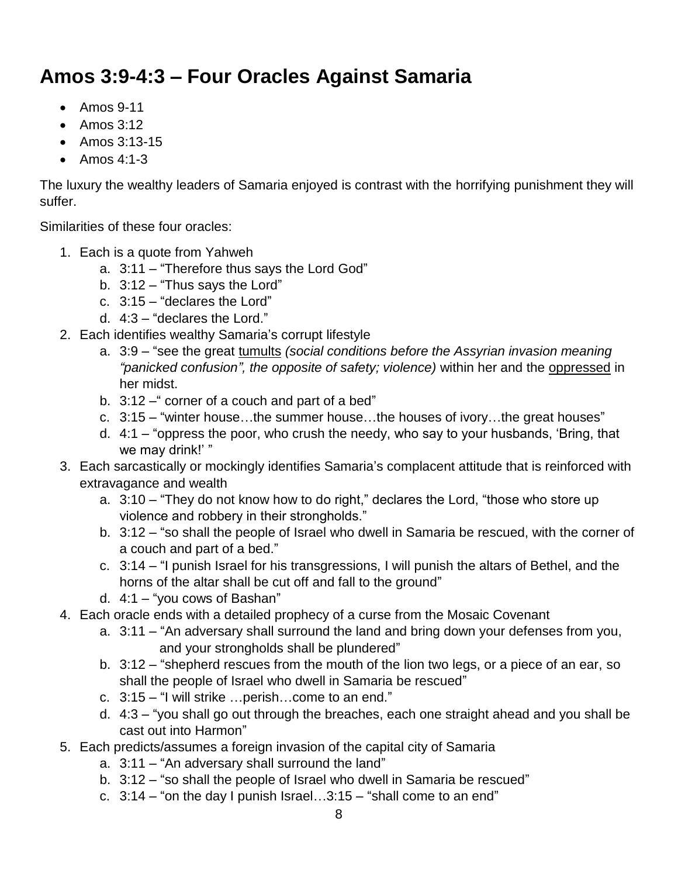# **Amos 3:9-4:3 – Four Oracles Against Samaria**

- Amos 9-11
- $\bullet$  Amos 3:12
- Amos 3:13-15
- $\bullet$  Amos 4:1-3

The luxury the wealthy leaders of Samaria enjoyed is contrast with the horrifying punishment they will suffer.

Similarities of these four oracles:

- 1. Each is a quote from Yahweh
	- a. 3:11 "Therefore thus says the Lord God"
	- b. 3:12 "Thus says the Lord"
	- c. 3:15 "declares the Lord"
	- d. 4:3 "declares the Lord."
- 2. Each identifies wealthy Samaria's corrupt lifestyle
	- a. 3:9 "see the great tumults *(social conditions before the Assyrian invasion meaning "panicked confusion", the opposite of safety; violence)* within her and the oppressed in her midst.
	- b. 3:12 corner of a couch and part of a bed"
	- c. 3:15 "winter house…the summer house…the houses of ivory…the great houses"
	- d. 4:1 "oppress the poor, who crush the needy, who say to your husbands, 'Bring, that we may drink!' "
- 3. Each sarcastically or mockingly identifies Samaria's complacent attitude that is reinforced with extravagance and wealth
	- a. 3:10 "They do not know how to do right," declares the Lord, "those who store up violence and robbery in their strongholds."
	- b. 3:12 "so shall the people of Israel who dwell in Samaria be rescued, with the corner of a couch and part of a bed."
	- c. 3:14 "I punish Israel for his transgressions, I will punish the altars of Bethel, and the horns of the altar shall be cut off and fall to the ground"
	- d. 4:1 "you cows of Bashan"
- 4. Each oracle ends with a detailed prophecy of a curse from the Mosaic Covenant
	- a. 3:11 "An adversary shall surround the land and bring down your defenses from you, and your strongholds shall be plundered"
	- b. 3:12 "shepherd rescues from the mouth of the lion two legs, or a piece of an ear, so shall the people of Israel who dwell in Samaria be rescued"
	- c. 3:15 "I will strike …perish…come to an end."
	- d. 4:3 "you shall go out through the breaches, each one straight ahead and you shall be cast out into Harmon"
- 5. Each predicts/assumes a foreign invasion of the capital city of Samaria
	- a. 3:11 "An adversary shall surround the land"
	- b. 3:12 "so shall the people of Israel who dwell in Samaria be rescued"
	- c.  $3:14$  "on the day I punish Israel... $3:15$  "shall come to an end"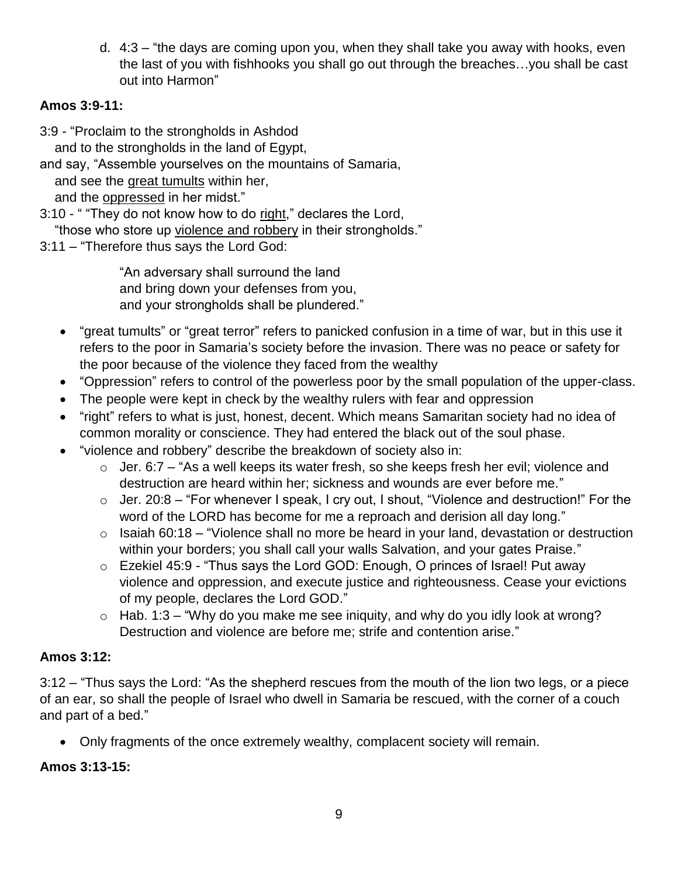d. 4:3 – "the days are coming upon you, when they shall take you away with hooks, even the last of you with fishhooks you shall go out through the breaches…you shall be cast out into Harmon"

#### **Amos 3:9-11:**

3:9 - "Proclaim to the strongholds in Ashdod

and to the strongholds in the land of Egypt,

and say, "Assemble yourselves on the mountains of Samaria, and see the great tumults within her,

and the oppressed in her midst."

3:10 - " "They do not know how to do right," declares the Lord,

"those who store up violence and robbery in their strongholds."

3:11 – "Therefore thus says the Lord God:

"An adversary shall surround the land and bring down your defenses from you, and your strongholds shall be plundered."

- "great tumults" or "great terror" refers to panicked confusion in a time of war, but in this use it refers to the poor in Samaria's society before the invasion. There was no peace or safety for the poor because of the violence they faced from the wealthy
- "Oppression" refers to control of the powerless poor by the small population of the upper-class.
- The people were kept in check by the wealthy rulers with fear and oppression
- "right" refers to what is just, honest, decent. Which means Samaritan society had no idea of common morality or conscience. They had entered the black out of the soul phase.
- "violence and robbery" describe the breakdown of society also in:
	- $\circ$  Jer. 6:7 "As a well keeps its water fresh, so she keeps fresh her evil; violence and destruction are heard within her; sickness and wounds are ever before me."
	- $\circ$  Jer. 20:8 "For whenever I speak, I cry out, I shout, "Violence and destruction!" For the word of the LORD has become for me a reproach and derision all day long."
	- $\circ$  Isaiah 60:18 "Violence shall no more be heard in your land, devastation or destruction within your borders; you shall call your walls Salvation, and your gates Praise."
	- o Ezekiel 45:9 "Thus says the Lord GOD: Enough, O princes of Israel! Put away violence and oppression, and execute justice and righteousness. Cease your evictions of my people, declares the Lord GOD."
	- $\circ$  Hab. 1:3 "Why do you make me see iniquity, and why do you idly look at wrong? Destruction and violence are before me; strife and contention arise."

#### **Amos 3:12:**

3:12 – "Thus says the Lord: "As the shepherd rescues from the mouth of the lion two legs, or a piece of an ear, so shall the people of Israel who dwell in Samaria be rescued, with the corner of a couch and part of a bed."

Only fragments of the once extremely wealthy, complacent society will remain.

#### **Amos 3:13-15:**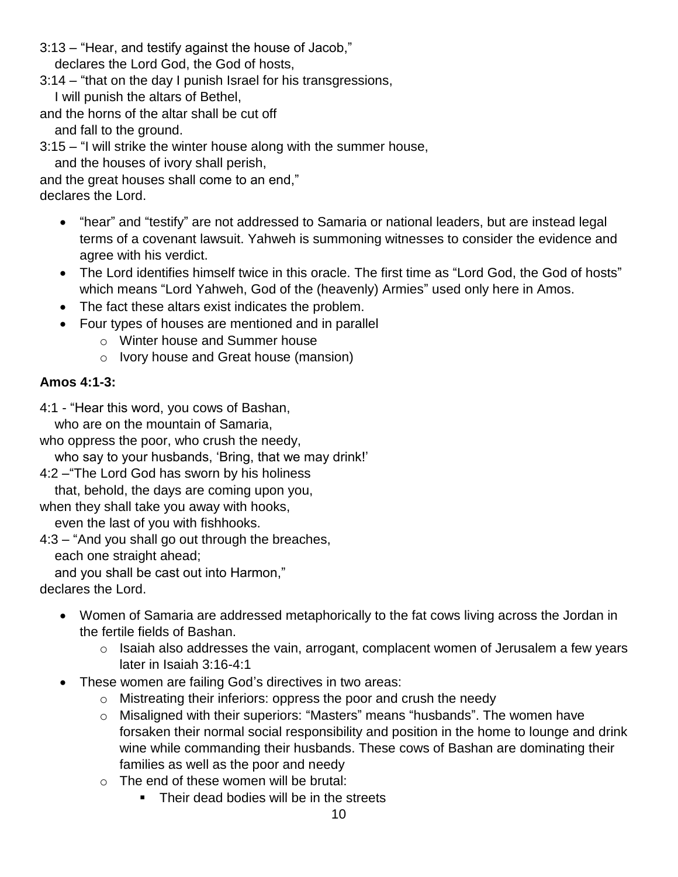- 3:13 "Hear, and testify against the house of Jacob," declares the Lord God, the God of hosts,
- 3:14 "that on the day I punish Israel for his transgressions, I will punish the altars of Bethel,
- and the horns of the altar shall be cut off

and fall to the ground.

- 3:15 "I will strike the winter house along with the summer house,
	- and the houses of ivory shall perish,
- and the great houses shall come to an end,"
- declares the Lord.
	- "hear" and "testify" are not addressed to Samaria or national leaders, but are instead legal terms of a covenant lawsuit. Yahweh is summoning witnesses to consider the evidence and agree with his verdict.
	- The Lord identifies himself twice in this oracle. The first time as "Lord God, the God of hosts" which means "Lord Yahweh, God of the (heavenly) Armies" used only here in Amos.
	- The fact these altars exist indicates the problem.
	- Four types of houses are mentioned and in parallel
		- o Winter house and Summer house
		- o Ivory house and Great house (mansion)

#### **Amos 4:1-3:**

4:1 - "Hear this word, you cows of Bashan,

who are on the mountain of Samaria,

who oppress the poor, who crush the needy,

who say to your husbands, 'Bring, that we may drink!'

4:2 –"The Lord God has sworn by his holiness

that, behold, the days are coming upon you,

when they shall take you away with hooks,

even the last of you with fishhooks.

4:3 – "And you shall go out through the breaches,

each one straight ahead;

and you shall be cast out into Harmon,"

declares the Lord.

- Women of Samaria are addressed metaphorically to the fat cows living across the Jordan in the fertile fields of Bashan.
	- $\circ$  Isaiah also addresses the vain, arrogant, complacent women of Jerusalem a few years later in Isaiah 3:16-4:1
- These women are failing God's directives in two areas:
	- o Mistreating their inferiors: oppress the poor and crush the needy
	- o Misaligned with their superiors: "Masters" means "husbands". The women have forsaken their normal social responsibility and position in the home to lounge and drink wine while commanding their husbands. These cows of Bashan are dominating their families as well as the poor and needy
	- o The end of these women will be brutal:
		- Their dead bodies will be in the streets